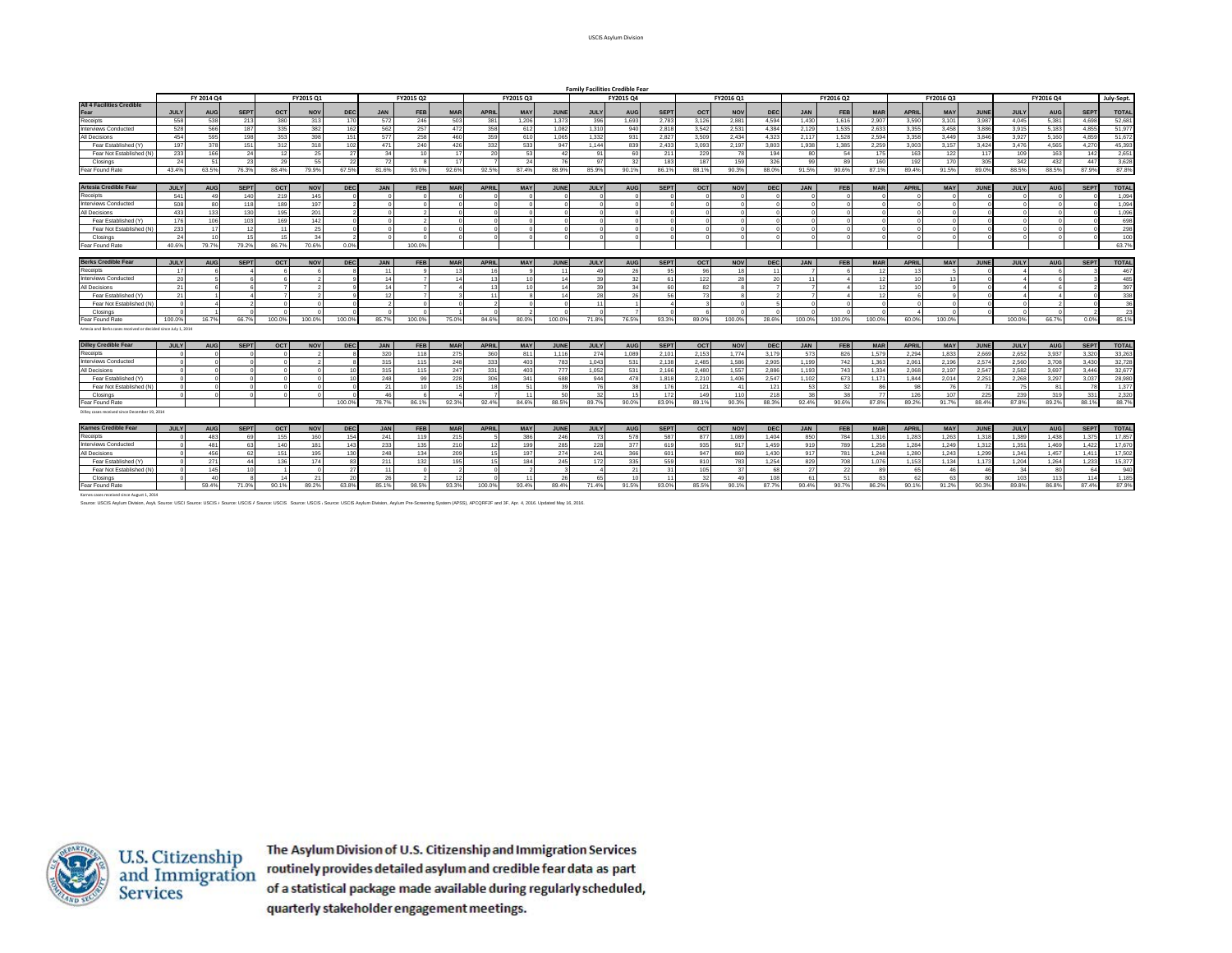|                                                                | <b>Family Facilities Credible Fear</b> |                  |             |                |               |                |                |                 |            |              |                 |             |             |                |             |            |            |            |            |            |            |                 |            |             |               |            |             |              |
|----------------------------------------------------------------|----------------------------------------|------------------|-------------|----------------|---------------|----------------|----------------|-----------------|------------|--------------|-----------------|-------------|-------------|----------------|-------------|------------|------------|------------|------------|------------|------------|-----------------|------------|-------------|---------------|------------|-------------|--------------|
|                                                                |                                        | FY 2014 Q4       |             |                | FY2015 Q1     |                |                | FY2015 Q2       |            | FY2015 Q3    |                 |             | FY2015 Q4   |                |             |            | FY2016 Q1  |            |            | FY2016 Q2  |            |                 | FY2016 Q3  |             | FY2016 Q4     |            |             | July-Sept.   |
| <b>All 4 Facilities Credible</b>                               |                                        |                  |             |                |               |                |                |                 |            |              |                 |             |             |                |             |            |            |            |            |            |            |                 |            |             |               |            |             |              |
| Fear                                                           | <b>JULY</b>                            | <b>AUG</b>       | <b>SEPT</b> | OCT            | <b>NOV</b>    | <b>DEC</b>     | <b>JAN</b>     | FEB             | <b>MAR</b> | <b>APRII</b> | <b>MAY</b>      | JUNE        | <b>JULY</b> | <b>AUG</b>     | <b>SEPT</b> | OCT        | <b>NOV</b> | DEC        | <b>JAN</b> | <b>FEB</b> | <b>MAR</b> | <b>APRIL</b>    | <b>MAY</b> | <b>JUNE</b> | <b>JULY</b>   | <b>AUG</b> | <b>SEPT</b> | <b>TOTAL</b> |
| Receipts                                                       | 558                                    | 538              | 213         | 380            | 313           | 170            | 572            | 246             | 503        | 38'          | 1.206           | 1.373       | 396         | 1.693          | 2,783       | 3.126      | 2.881      | 4.594      | 1.430      | 1.616      | 2,907      | 3.590           | 3.101      | 3.987       | 4.045         | 5,381      | 4.69        | 52.681       |
| nterviews Conducted                                            | 528                                    | 566              | 187         | 335            | 382           | 162            | 562            | 257             | 472        | 358          | 612             | 1.082       | 1.310       | 940            | 2.81        | 3.542      | 2.531      | 4.384      | 2.129      | 1.535      | 2.633      | 3.355           | 3.458      | 3,886       | 3.915         | 5.183      | 4.855       | 51,977       |
| <b>All Decisions</b>                                           | 454                                    | 595              | 198         | 353            | 398           | 151            | 57             | 258             | 460        | 359          | 610             | 1.065       | 1.332       | 931            | 2.827       | 3.509      | 2.434      | 4.323      | 2.117      | 1.528      | 2.594      | 3,358           | 3.449      | 3,846       | 3.927         | 5.160      | 4.85        | 51,672       |
| Fear Established (Y)                                           | 197                                    | 378              | 151         | 312            | 318           | 102            | 47'            | 240             | 426        | 332          | 533             | 947         | 1.144       | 839            | 2,433       | 3.093      | 2.197      | 3,803      | 1.938      | 1.385      | 2,259      | 3.003           | 3,157      | 3,424       | 3,476         | 4.565      | 4,27        | 45,393       |
| Fear Not Established (                                         | 233                                    | 166              | 24          | 12             | 25            | 27             | -34            | 10              |            | 20           | 53              | $\Delta$    | 91          | 60             | 211         | 229        | 78         | 194        | 80         | -54        | 175        | 163             | 122        | 117         | 109           | 163        | 142         | 2,651        |
| Closings                                                       | 24                                     | 51               |             | 29             | 55            |                |                |                 |            |              |                 |             | 97          | 32             | 183         | 187        | 159        | 326        | 99         | 89         | 160        | 192             | 170        | 305         | 342           | 432        | 447         | 3.628        |
| ear Found Rate                                                 | 43.4%                                  | 63.5%            | 76.3%       | 88.4%          | 79.9%         | 67.5%          | 81.6%          | 93.0%           | 92.6%      | 92.5%        | 87.4%           | 88.9%       | 85.9%       | 90.1%          | 86.19       | 88.1%      | 90.3%      | 88.0%      | 91.5%      | 90.6%      | 87.19      | 89.4%           | 91.5%      | 89.0%       | 88.5%         | 88.5%      | 87.9%       | 87.8%        |
|                                                                |                                        |                  |             |                |               |                |                |                 |            |              |                 |             |             |                |             |            |            |            |            |            |            |                 |            |             |               |            |             |              |
| Artesia Credible Fear                                          | <b>JULY</b>                            | <b>AUG</b>       | <b>SEPT</b> | <b>OCTI</b>    | <b>NOV</b>    | <b>DEC</b>     | <b>JAN</b>     | <b>FEB</b>      | <b>MAF</b> | <b>APRIL</b> | <b>MAY</b>      | <b>JUNE</b> | <b>JULY</b> | <b>AUG</b>     | <b>SEPT</b> | <b>OCT</b> | <b>NOV</b> | <b>DEC</b> | <b>JAN</b> | <b>FEB</b> | <b>MAR</b> | <b>APRIL</b>    | <b>MAY</b> | JUNE        | <b>JULY</b>   | <b>AUG</b> | <b>SEPT</b> | <b>TOTAL</b> |
| Receipts                                                       | 541                                    | 49               | 140         | 219            | 145           |                |                |                 |            |              |                 |             |             | $\Omega$       |             |            |            |            | $\Omega$   | $\Omega$   |            | $\Omega$        |            |             |               |            |             | 1.094        |
| nterviews Conducted                                            | 508                                    | 80               | 11          | 189            | 197           |                |                |                 |            |              |                 |             |             | $\Omega$       |             |            |            |            | $\Omega$   |            |            | $\Omega$        |            |             |               |            |             | 1,094        |
| <b>Il Decisions</b>                                            | 433                                    | 133              | 130         | 195            | 201           |                |                |                 |            |              |                 |             |             | $\Omega$       |             |            |            |            | $\Omega$   |            |            | $\Omega$        |            |             |               |            |             | 1.096        |
| Fear Established (Y)                                           | 176                                    | 106              | 103         | 169            | 142           |                |                |                 |            |              |                 |             |             | $\Omega$       |             |            |            |            | $\Omega$   |            |            | $\Omega$        |            |             |               |            |             | 698          |
| Fear Not Established (I                                        | 233                                    | 17               |             | 11             | 2!            |                |                |                 |            |              | $\Omega$        |             |             | $\Omega$       |             |            |            |            | $\sqrt{2}$ |            |            | $\Omega$        |            |             |               |            |             | 298          |
| Closings                                                       | 24                                     | 10 <sup>10</sup> |             | 15             | - ર           |                |                |                 |            |              | $\Omega$        |             |             | $\Omega$       |             |            |            |            | $\sqrt{2}$ |            |            | $\Omega$        |            |             |               |            |             | 100          |
| ear Found Rate                                                 | 40.6%                                  | 79.7%            | 79.2%       | 86.7%          | 70.6%         | 0.0%           |                | 100.0%          |            |              |                 |             |             |                |             |            |            |            |            |            |            |                 |            |             |               |            |             | 63.7%        |
|                                                                |                                        |                  |             |                |               |                |                |                 |            |              |                 |             |             |                |             |            |            |            |            |            |            |                 |            |             |               |            |             |              |
| Berks Credible Fear                                            | <b>JULY</b>                            | <b>AUG</b>       | <b>SEPT</b> | <b>OCT</b>     | <b>NOV</b>    | <b>DEC</b>     | <b>JAN</b>     | <b>FEB</b>      | <b>MAF</b> | <b>APRIL</b> | <b>MAY</b>      | JUNE        | <b>JULY</b> | <b>AUG</b>     | <b>SEPT</b> | OCT        | <b>NOV</b> | <b>DEC</b> | <b>JAN</b> | <b>FEB</b> | <b>MAR</b> | <b>APRIL</b>    | <b>MAY</b> | <b>JUNE</b> | <b>JULY</b>   | <b>AUG</b> | <b>SEPT</b> | <b>TOTAL</b> |
| <b>Receipts</b>                                                | 17                                     |                  |             |                |               |                | 1 <sup>1</sup> |                 |            | 16           |                 |             | 49          | 26             |             | 96         | 18         |            |            |            |            | 13 <sup>1</sup> |            |             |               |            |             | 467          |
| nterviews Conducted                                            | 20                                     |                  |             |                |               |                | 14             |                 |            | 13           | 10 <sup>1</sup> | 14          | 39          | 32             | 61          | 122        | 28         | 20         | 11         |            | 12         | 10              | 13         |             |               |            |             | 485          |
| Il Decisions                                                   | 21                                     |                  |             |                |               |                | 14             |                 |            | -13          | 10 <sup>1</sup> | 14          | 39          | 34             | 60          | 82         |            |            |            |            | 49         | 10              |            |             |               |            |             | 397          |
| Fear Established (Y)                                           | 21                                     |                  |             | $\overline{7}$ |               |                | 12             |                 |            | 11           | $\mathbf{R}$    |             | 28          | 26             | 56          | 73         |            |            |            |            | 12         | $\kappa$        |            |             |               |            |             | 338          |
| Fear Not Established (N                                        | $\Omega$                               |                  |             | $\Omega$       |               |                |                |                 |            |              | $\Omega$        |             | 11          | $\overline{1}$ |             |            |            |            | $\Omega$   |            |            | $\Omega$        |            |             |               |            |             | 36           |
| Closings                                                       | $\Omega$                               |                  |             | $\Omega$       |               |                |                |                 |            |              | $\sim$          |             |             | $\overline{7}$ |             |            |            |            | $\Omega$   |            |            |                 |            |             |               |            |             | 23           |
| ear Found Rate                                                 | 100.0%                                 | 16.7%            | 66.7%       | 100.0%         | 100.09        | 100.09         | 85.7%          | 100.0%          | 75.09      | 84.69        | 80.0%           | 100.09      | 71.8%       | 76.5%          | 93.39       | 89.0%      | 100.0%     | 28.69      | 100.0%     | 100.0%     | 100.09     | 60.0%           | 100.0%     |             | 100.0%        | 66.7%      | 0.0%        | 85.1%        |
| Artesia and Berks cases received or decided since July 1, 2014 |                                        |                  |             |                |               |                |                |                 |            |              |                 |             |             |                |             |            |            |            |            |            |            |                 |            |             |               |            |             |              |
|                                                                |                                        |                  |             |                |               |                |                |                 |            |              |                 |             |             |                |             |            |            |            |            |            |            |                 |            |             |               |            |             |              |
| <b>Dilley Credible Fear</b>                                    | <b>JULY</b>                            | <b>AUG</b>       | <b>SEPT</b> | <b>OCT</b>     | <b>NOV</b>    | <b>DEC</b>     | <b>JAN</b>     | FEB             | <b>MAR</b> | <b>APRIL</b> | <b>MAY</b>      | <b>JUNE</b> | <b>JULY</b> | <b>AUG</b>     | <b>SEPT</b> | octl       | <b>NOV</b> | <b>DEC</b> | <b>JAN</b> | <b>FEB</b> | <b>MAR</b> | <b>APRIL</b>    | <b>MAY</b> | JUNE        | <b>JULY</b>   | <b>AUG</b> | <b>SEPT</b> | <b>TOTAL</b> |
| Receipts                                                       | $\Delta$                               |                  |             | $\Omega$       |               |                | 32(            | 118             | 275        | 360          | 811             | 1.116       | 274         | 1.089          | 2.101       | 2.153      | 1.774      | 3.179      | 573        | 826        | 1.579      | 2.294           | 1.833      | 2.669       | 2,652         | 3.937      | 3,320       | 33,263       |
| nterviews Conducted                                            |                                        |                  |             |                |               |                | 315            | 115             | 248        | 333          | 403             | 783         | 1,043       | 531            | 2,13i       | 2,485      | 1,586      | 2,905      | 1,199      | 742        | 1,36       | 2,061           | 2,196      | 2,574       | 2,560         | 3,708      | 3,430       | 32,728       |
| Il Decisions                                                   |                                        |                  |             |                |               |                | 315            | 115             | 247        | 331          | 403             | 777         | 1,052       | 531            | 2,166       | 2,480      | 1,557      | 2,886      | 1,193      | 743        | 1,334      | 2,068           | 2,197      | 2,547       | 2,582         | 3,697      | 3,446       | 32,677       |
| Fear Established (Y)                                           |                                        |                  |             |                |               |                | 248            | $\alpha$        | 228        | 306          | 341             | 688         | 944         | 478            | 1.81        | 2.210      | 1.406      | 2.547      | 1.102      | 673        | 1.17       | 1.844           | 2.014      | 2.25'       | 2.268         | 3.297      | 3.037       | 28,980       |
| Fear Not Established (N                                        | $\Omega$                               |                  |             | $\sim$         |               |                | $\mathcal{P}$  | $\overline{10}$ |            | 40           | 51              | 39          | 76          | 38             | 17          | 121        | 41         | 121        | 53         | 32         |            | 98              | 76         |             | 75            | 81         |             | 1.377        |
| Closings                                                       |                                        |                  |             |                |               |                | Δ              |                 |            |              |                 | 5d          | -32         | 15             | 17.         | 149        | 110        | 218        | 38         | 38         |            | 126             | 107        | 225         | 239           | 319        | 33'         | 2,320        |
| ear Found Rate                                                 |                                        |                  |             |                |               | 100.0%         | 78.7%          | 86.1%           | 92.3%      | 92.4%        | 84.6%           | 88.5%       | 89.7%       | 90.0%          | 83.9%       | 89.1%      | 90.3%      | 88.3%      | 92.4%      | 90.6%      | 87.8%      | 89.2%           | 91.7%      | 88.4%       | 87.8%         | 89.2%      | 88.1%       | 88.7%        |
| Dilley cases received since December 19, 2014                  |                                        |                  |             |                |               |                |                |                 |            |              |                 |             |             |                |             |            |            |            |            |            |            |                 |            |             |               |            |             |              |
|                                                                |                                        |                  |             |                |               |                |                |                 |            |              |                 |             |             |                |             |            |            |            |            |            |            |                 |            |             |               |            |             |              |
| Karnes Credible Fear                                           | <b>JULY</b>                            | <b>AUG</b>       | <b>SEPT</b> | OCT            | <b>NOV</b>    | <b>DEC</b>     | <b>JAN</b>     | FEB             | <b>MAR</b> | <b>APRIL</b> | <b>MAY</b>      | <b>JUNE</b> | <b>JULY</b> | <b>AUG</b>     | <b>SEPT</b> | OCT        | <b>NOV</b> | <b>DEC</b> | <b>JAN</b> | <b>FEB</b> | <b>MAR</b> | <b>APRIL</b>    | <b>MAY</b> | JUNE        | <b>JULY</b>   | <b>AUG</b> | <b>SEPT</b> | <b>TOTAL</b> |
| Receipts                                                       | $\Omega$                               | 483              | 69          | 155            | 160           | 154            | 241            | 119             | 215        |              | 386             | 246         | 73          | 578            | 587         | 877        | 1.089      | 1,404      | 850        | 784        | 1.316      | 1.283           | 1.263      | 1.318       | 1,389         | 1.438      | 1.375       | 17,857       |
| <b>Interviews Conducted</b>                                    |                                        | 481              |             | 140            | 181           | 143            | 233            | 135             | 21         |              | 199             | 285         | 228         | 377            | 61          | 935        | 917        | 1.459      | 919        | 789        | 1,258      | 1,284           | 1,249      | 1,312       | 1,351         | 1,469      | 1.42        | 17,670       |
| Il Decisions                                                   |                                        | 456              | 62          | 151            | 195           | 130            | 248            | 134             | 20         |              | 197             | 274         | 241         | 366            | 601         | 947        | 869        | 1.430      | 917        | 781        | 1.248      | 1,280           | 1.243      | 1.299       | 1.341         | 1.457      | 1.41        | 17,502       |
| Fear Established (Y)                                           | $\Omega$                               | 271              |             | 136            | 174           |                | 21'            | 132             | 195        |              | 184             | 245         | 172         | 335            | 559         | 810        | 783        | 1.254      | 829        | 708        | 1.076      | 1.153           | 1.134      | 1.173       | 1.204         | 1.264      | 1.23        | 15,377       |
| Fear Not Established (I                                        |                                        | 145              |             |                |               |                |                |                 |            |              |                 |             |             | 21             |             | 105        | 37         |            | 27         | 22         |            | 65              |            |             | $\mathcal{R}$ | R          |             | 940          |
| Closings                                                       |                                        | 40               |             | 14             | $\mathcal{P}$ | $\overline{2}$ | 26             |                 |            |              | 11              | 26          | 65          | 10             |             | 32         | 49         | 108        | 61         | 51         |            | 62              | 63         |             | 103           | 113        | 11.         | 1.185        |
| ear Found Rate                                                 |                                        | 59.4%            | 71.09       | 90.1%          | 89.2%         | 63.8%          | 85.1%          | 98.5%           | 93.3%      | 100.09       | 93.4%           | 89.49       | 71.4%       | 91.5%          | 93.09       | 85.5%      | 90.1%      | 87.79      | 90.4%      | 90.7%      | 86.2%      | 90.1%           | 91.2%      | 90.3%       | 89.8%         | 86.8%      | 87.4%       | 87.9%        |
|                                                                |                                        |                  |             |                |               |                |                |                 |            |              |                 |             |             |                |             |            |            |            |            |            |            |                 |            |             |               |            |             |              |

e August 1, 2014

Saurce: USCIS Asylum Division, Asyli. Source: USCIS Source: USCIS / Source: USCIS / Source: USCIS / Source: USCIS / Source: USCIS / Saylum Division, Asylum Pre-Screening System (APSS), APCQRF2F and 3F, Apr. 4, 2016. Update



The Asylum Division of U.S. Citizenship and Immigration Services routinely provides detailed asylum and credible fear data as part of a statistical package made available during regularly scheduled, quarterly stakeholder engagement meetings.